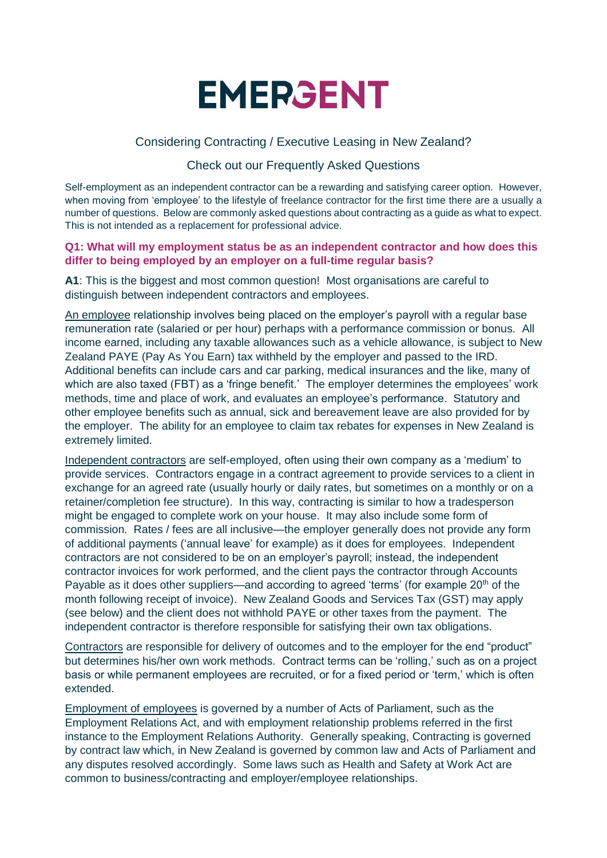

# Considering Contracting / Executive Leasing in New Zealand?

# Check out our Frequently Asked Questions

Self-employment as an independent contractor can be a rewarding and satisfying career option. However, when moving from 'employee' to the lifestyle of freelance contractor for the first time there are a usually a number of questions. Below are commonly asked questions about contracting as a guide as what to expect. This is not intended as a replacement for professional advice.

#### **Q1: What will my employment status be as an independent contractor and how does this differ to being employed by an employer on a full-time regular basis?**

**A1**: This is the biggest and most common question! Most organisations are careful to distinguish between independent contractors and employees.

An employee relationship involves being placed on the employer's payroll with a regular base remuneration rate (salaried or per hour) perhaps with a performance commission or bonus. All income earned, including any taxable allowances such as a vehicle allowance, is subject to New Zealand PAYE (Pay As You Earn) tax withheld by the employer and passed to the IRD. Additional benefits can include cars and car parking, medical insurances and the like, many of which are also taxed (FBT) as a 'fringe benefit.' The employer determines the employees' work methods, time and place of work, and evaluates an employee's performance. Statutory and other employee benefits such as annual, sick and bereavement leave are also provided for by the employer. The ability for an employee to claim tax rebates for expenses in New Zealand is extremely limited.

Independent contractors are self-employed, often using their own company as a 'medium' to provide services. Contractors engage in a contract agreement to provide services to a client in exchange for an agreed rate (usually hourly or daily rates, but sometimes on a monthly or on a retainer/completion fee structure). In this way, contracting is similar to how a tradesperson might be engaged to complete work on your house. It may also include some form of commission. Rates / fees are all inclusive—the employer generally does not provide any form of additional payments ('annual leave' for example) as it does for employees. Independent contractors are not considered to be on an employer's payroll; instead, the independent contractor invoices for work performed, and the client pays the contractor through Accounts Payable as it does other suppliers—and according to agreed 'terms' (for example  $20<sup>th</sup>$  of the month following receipt of invoice). New Zealand Goods and Services Tax (GST) may apply (see below) and the client does not withhold PAYE or other taxes from the payment. The independent contractor is therefore responsible for satisfying their own tax obligations.

Contractors are responsible for delivery of outcomes and to the employer for the end "product" but determines his/her own work methods. Contract terms can be 'rolling,' such as on a project basis or while permanent employees are recruited, or for a fixed period or 'term,' which is often extended.

Employment of employees is governed by a number of Acts of Parliament, such as the Employment Relations Act, and with employment relationship problems referred in the first instance to the Employment Relations Authority. Generally speaking, Contracting is governed by contract law which, in New Zealand is governed by common law and Acts of Parliament and any disputes resolved accordingly. Some laws such as Health and Safety at Work Act are common to business/contracting and employer/employee relationships.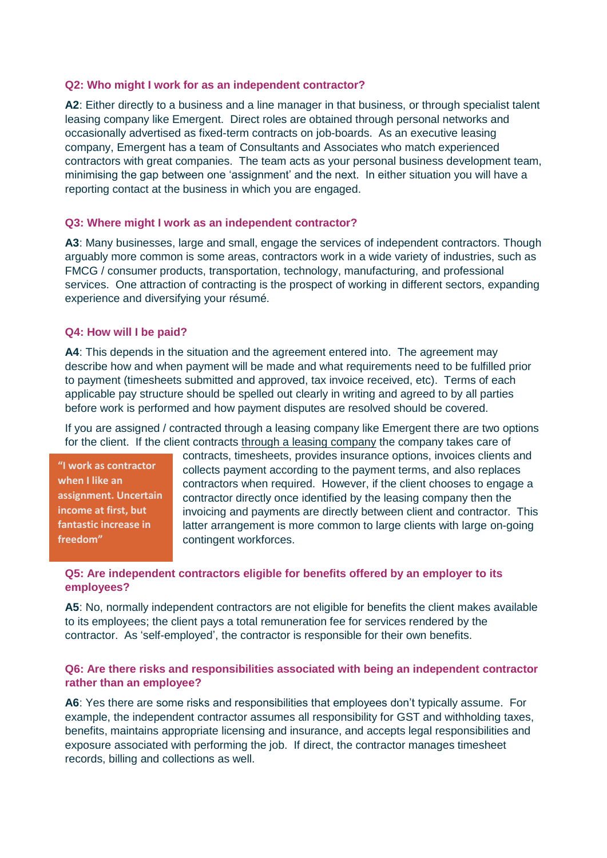#### **Q2: Who might I work for as an independent contractor?**

**A2**: Either directly to a business and a line manager in that business, or through specialist talent leasing company like Emergent. Direct roles are obtained through personal networks and occasionally advertised as fixed-term contracts on job-boards. As an executive leasing company, Emergent has a team of Consultants and Associates who match experienced contractors with great companies. The team acts as your personal business development team, minimising the gap between one 'assignment' and the next. In either situation you will have a reporting contact at the business in which you are engaged.

#### **Q3: Where might I work as an independent contractor?**

**A3**: Many businesses, large and small, engage the services of independent contractors. Though arguably more common is some areas, contractors work in a wide variety of industries, such as FMCG / consumer products, transportation, technology, manufacturing, and professional services. One attraction of contracting is the prospect of working in different sectors, expanding experience and diversifying your résumé.

#### **Q4: How will I be paid?**

**A4**: This depends in the situation and the agreement entered into. The agreement may describe how and when payment will be made and what requirements need to be fulfilled prior to payment (timesheets submitted and approved, tax invoice received, etc). Terms of each applicable pay structure should be spelled out clearly in writing and agreed to by all parties before work is performed and how payment disputes are resolved should be covered.

If you are assigned / contracted through a leasing company like Emergent there are two options for the client. If the client contracts through a leasing company the company takes care of

**"I work as contractor when I like an assignment. Uncertain income at first, but fantastic increase in freedom"**

contracts, timesheets, provides insurance options, invoices clients and collects payment according to the payment terms, and also replaces contractors when required. However, if the client chooses to engage a contractor directly once identified by the leasing company then the invoicing and payments are directly between client and contractor. This latter arrangement is more common to large clients with large on-going contingent workforces.

### **Q5: Are independent contractors eligible for benefits offered by an employer to its employees?**

A5: No, normally independent contractors are not eligible for benefits the client makes available to its employees; the client pays a total remuneration fee for services rendered by the contractor. As 'self-employed', the contractor is responsible for their own benefits.

### **Q6: Are there risks and responsibilities associated with being an independent contractor rather than an employee?**

**A6**: Yes there are some risks and responsibilities that employees don't typically assume. For example, the independent contractor assumes all responsibility for GST and withholding taxes, benefits, maintains appropriate licensing and insurance, and accepts legal responsibilities and exposure associated with performing the job. If direct, the contractor manages timesheet records, billing and collections as well.